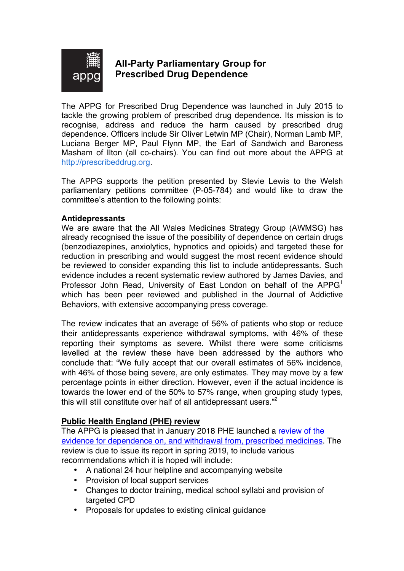

# **All-Party Parliamentary Group for Prescribed Drug Dependence**

The APPG for Prescribed Drug Dependence was launched in July 2015 to tackle the growing problem of prescribed drug dependence. Its mission is to recognise, address and reduce the harm caused by prescribed drug dependence. Officers include Sir Oliver Letwin MP (Chair), Norman Lamb MP, Luciana Berger MP, Paul Flynn MP, the Earl of Sandwich and Baroness Masham of Ilton (all co-chairs). You can find out more about the APPG at http://prescribeddrug.org.

The APPG supports the petition presented by Stevie Lewis to the Welsh parliamentary petitions committee (P-05-784) and would like to draw the committee's attention to the following points:

## **Antidepressants**

We are aware that the All Wales Medicines Strategy Group (AWMSG) has already recognised the issue of the possibility of dependence on certain drugs (benzodiazepines, anxiolytics, hypnotics and opioids) and targeted these for reduction in prescribing and would suggest the most recent evidence should be reviewed to consider expanding this list to include antidepressants. Such evidence includes a recent systematic review authored by James Davies, and Professor John Read, University of East London on behalf of the APPG<sup>1</sup> which has been peer reviewed and published in the Journal of Addictive Behaviors, with extensive accompanying press coverage.

The review indicates that an average of 56% of patients who stop or reduce their antidepressants experience withdrawal symptoms, with 46% of these reporting their symptoms as severe. Whilst there were some criticisms levelled at the review these have been addressed by the authors who conclude that: "We fully accept that our overall estimates of 56% incidence, with 46% of those being severe, are only estimates. They may move by a few percentage points in either direction. However, even if the actual incidence is towards the lower end of the 50% to 57% range, when grouping study types, this will still constitute over half of all antidepressant users."<sup>2</sup>

## **Public Health England (PHE) review**

The APPG is pleased that in January 2018 PHE launched a review of the evidence for dependence on, and withdrawal from, prescribed medicines. The review is due to issue its report in spring 2019, to include various recommendations which it is hoped will include:

- A national 24 hour helpline and accompanying website
- Provision of local support services
- Changes to doctor training, medical school syllabi and provision of targeted CPD
- Proposals for updates to existing clinical guidance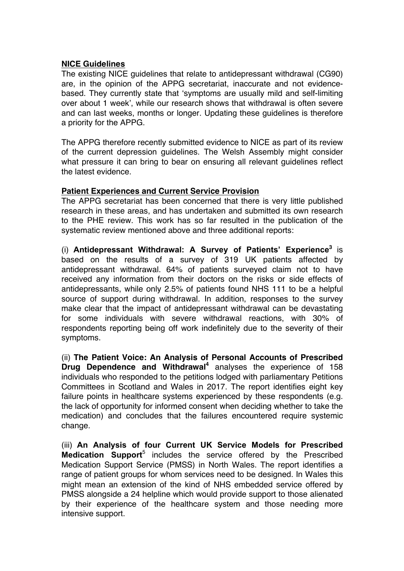## **NICE Guidelines**

The existing NICE guidelines that relate to antidepressant withdrawal (CG90) are, in the opinion of the APPG secretariat, inaccurate and not evidencebased. They currently state that 'symptoms are usually mild and self-limiting over about 1 week', while our research shows that withdrawal is often severe and can last weeks, months or longer. Updating these guidelines is therefore a priority for the APPG.

The APPG therefore recently submitted evidence to NICE as part of its review of the current depression guidelines. The Welsh Assembly might consider what pressure it can bring to bear on ensuring all relevant guidelines reflect the latest evidence.

## **Patient Experiences and Current Service Provision**

The APPG secretariat has been concerned that there is very little published research in these areas, and has undertaken and submitted its own research to the PHE review. This work has so far resulted in the publication of the systematic review mentioned above and three additional reports:

(i) **Antidepressant Withdrawal: A Survey of Patients' Experience<sup>3</sup>** is based on the results of a survey of 319 UK patients affected by antidepressant withdrawal. 64% of patients surveyed claim not to have received any information from their doctors on the risks or side effects of antidepressants, while only 2.5% of patients found NHS 111 to be a helpful source of support during withdrawal. In addition, responses to the survey make clear that the impact of antidepressant withdrawal can be devastating for some individuals with severe withdrawal reactions, with 30% of respondents reporting being off work indefinitely due to the severity of their symptoms.

(ii) **The Patient Voice: An Analysis of Personal Accounts of Prescribed Drug Dependence and Withdrawal<sup>4</sup>** analyses the experience of 158 individuals who responded to the petitions lodged with parliamentary Petitions Committees in Scotland and Wales in 2017. The report identifies eight key failure points in healthcare systems experienced by these respondents (e.g. the lack of opportunity for informed consent when deciding whether to take the medication) and concludes that the failures encountered require systemic change.

(iii) **An Analysis of four Current UK Service Models for Prescribed Medication Support**<sup>5</sup> includes the service offered by the Prescribed Medication Support Service (PMSS) in North Wales. The report identifies a range of patient groups for whom services need to be designed. In Wales this might mean an extension of the kind of NHS embedded service offered by PMSS alongside a 24 helpline which would provide support to those alienated by their experience of the healthcare system and those needing more intensive support.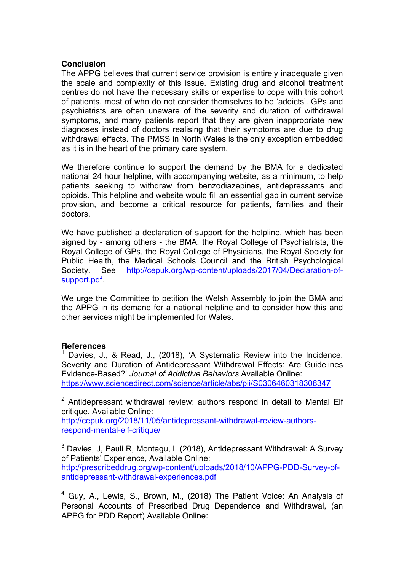#### **Conclusion**

The APPG believes that current service provision is entirely inadequate given the scale and complexity of this issue. Existing drug and alcohol treatment centres do not have the necessary skills or expertise to cope with this cohort of patients, most of who do not consider themselves to be 'addicts'. GPs and psychiatrists are often unaware of the severity and duration of withdrawal symptoms, and many patients report that they are given inappropriate new diagnoses instead of doctors realising that their symptoms are due to drug withdrawal effects. The PMSS in North Wales is the only exception embedded as it is in the heart of the primary care system.

We therefore continue to support the demand by the BMA for a dedicated national 24 hour helpline, with accompanying website, as a minimum, to help patients seeking to withdraw from benzodiazepines, antidepressants and opioids. This helpline and website would fill an essential gap in current service provision, and become a critical resource for patients, families and their doctors.

We have published a declaration of support for the helpline, which has been signed by - among others - the BMA, the Royal College of Psychiatrists, the Royal College of GPs, the Royal College of Physicians, the Royal Society for Public Health, the Medical Schools Council and the British Psychological Society. See http://cepuk.org/wp-content/uploads/2017/04/Declaration-ofsupport.pdf.

We urge the Committee to petition the Welsh Assembly to join the BMA and the APPG in its demand for a national helpline and to consider how this and other services might be implemented for Wales.

#### **References**

<sup>1</sup> Davies, J., & Read, J., (2018), 'A Systematic Review into the Incidence, Severity and Duration of Antidepressant Withdrawal Effects: Are Guidelines Evidence-Based?' *Journal of Addictive Behaviors* Available Online: https://www.sciencedirect.com/science/article/abs/pii/S0306460318308347

 $2$  Antidepressant withdrawal review: authors respond in detail to Mental Elf critique, Available Online:

http://cepuk.org/2018/11/05/antidepressant-withdrawal-review-authorsrespond-mental-elf-critique/

<sup>3</sup> Davies, J. Pauli R. Montagu, L (2018), Antidepressant Withdrawal: A Survey of Patients' Experience, Available Online: http://prescribeddrug.org/wp-content/uploads/2018/10/APPG-PDD-Survey-ofantidepressant-withdrawal-experiences.pdf

<sup>4</sup> Guy, A., Lewis, S., Brown, M., (2018) The Patient Voice: An Analysis of Personal Accounts of Prescribed Drug Dependence and Withdrawal, (an APPG for PDD Report) Available Online: